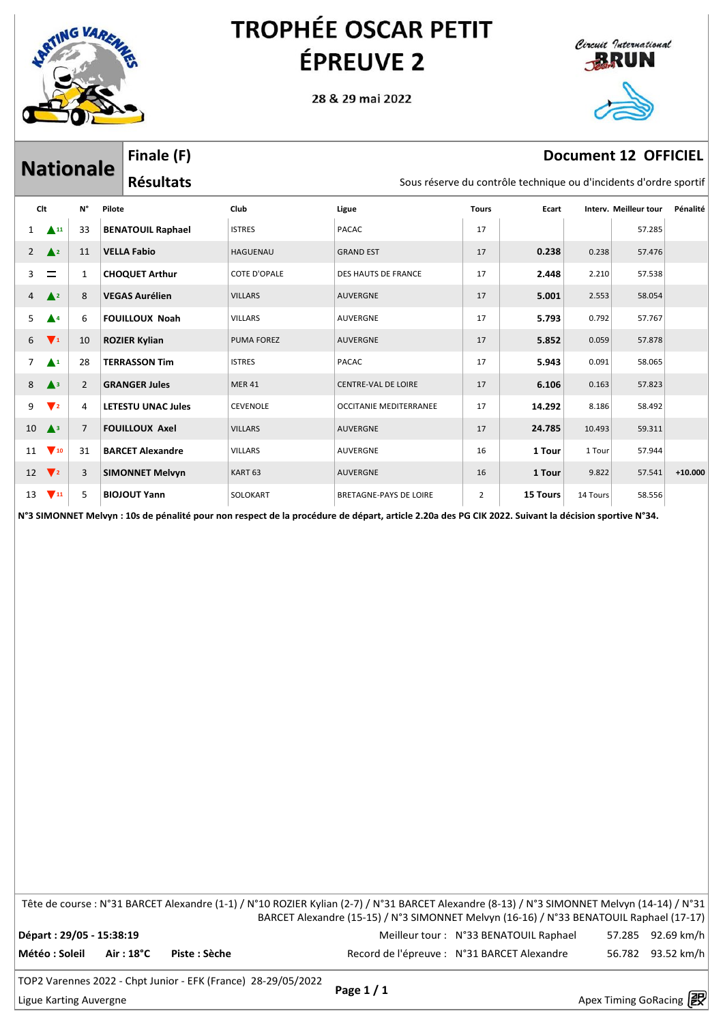

28 & 29 mai 2022



|              | <b>Nationale</b>          | Finale (F)     |        |                           |                     |                               |                | Document 12 OFFICIEL                                             |          |                       |          |
|--------------|---------------------------|----------------|--------|---------------------------|---------------------|-------------------------------|----------------|------------------------------------------------------------------|----------|-----------------------|----------|
|              |                           |                |        | <b>Résultats</b>          |                     |                               |                | Sous réserve du contrôle technique ou d'incidents d'ordre sporti |          |                       |          |
|              | Clt                       | $N^{\circ}$    | Pilote |                           | Club                | Ligue                         | <b>Tours</b>   | Ecart                                                            |          | Interv. Meilleur tour | Pénalit  |
| $\mathbf{1}$ | $\triangle$ 11            | 33             |        | <b>BENATOUIL Raphael</b>  | <b>ISTRES</b>       | <b>PACAC</b>                  | 17             |                                                                  |          | 57.285                |          |
| $\mathbf{2}$ | $\triangle^2$             | 11             |        | <b>VELLA Fabio</b>        | <b>HAGUENAU</b>     | <b>GRAND EST</b>              | 17             | 0.238                                                            | 0.238    | 57.476                |          |
| 3            | $\equiv$                  | 1              |        | <b>CHOQUET Arthur</b>     | <b>COTE D'OPALE</b> | DES HAUTS DE FRANCE           | 17             | 2.448                                                            | 2.210    | 57.538                |          |
| 4            | $\triangle^2$             | 8              |        | <b>VEGAS Aurélien</b>     | <b>VILLARS</b>      | <b>AUVERGNE</b>               | 17             | 5.001                                                            | 2.553    | 58.054                |          |
| 5            | $\triangle^4$             | 6              |        | <b>FOUILLOUX Noah</b>     | <b>VILLARS</b>      | <b>AUVERGNE</b>               | 17             | 5.793                                                            | 0.792    | 57.767                |          |
| 6            | $\mathbf{V}_1$            | 10             |        | <b>ROZIER Kylian</b>      | <b>PUMA FOREZ</b>   | <b>AUVERGNE</b>               | 17             | 5.852                                                            | 0.059    | 57.878                |          |
| 7            | $\blacktriangle^1$        | 28             |        | <b>TERRASSON Tim</b>      | <b>ISTRES</b>       | <b>PACAC</b>                  | 17             | 5.943                                                            | 0.091    | 58.065                |          |
| 8            | $\triangle^3$             | 2              |        | <b>GRANGER Jules</b>      | <b>MER 41</b>       | <b>CENTRE-VAL DE LOIRE</b>    | 17             | 6.106                                                            | 0.163    | 57.823                |          |
| 9            | $\mathbf{V}$ <sub>2</sub> | 4              |        | <b>LETESTU UNAC Jules</b> | <b>CEVENOLE</b>     | <b>OCCITANIE MEDITERRANEE</b> | 17             | 14.292                                                           | 8.186    | 58.492                |          |
| 10           | $\triangle$ <sup>3</sup>  | $\overline{7}$ |        | <b>FOUILLOUX Axel</b>     | <b>VILLARS</b>      | <b>AUVERGNE</b>               | 17             | 24.785                                                           | 10.493   | 59.311                |          |
| 11           | $\sqrt{10}$               | 31             |        | <b>BARCET Alexandre</b>   | <b>VILLARS</b>      | <b>AUVERGNE</b>               | 16             | 1 Tour                                                           | 1 Tour   | 57.944                |          |
| 12           | $\mathbf{V}$ <sub>2</sub> | 3              |        | <b>SIMONNET Melvyn</b>    | KART <sub>63</sub>  | <b>AUVERGNE</b>               | 16             | 1 Tour                                                           | 9.822    | 57.541                | $+10.00$ |
| 13           | $\sqrt{11}$               | 5              |        | <b>BIOJOUT Yann</b>       | SOLOKART            | BRETAGNE-PAYS DE LOIRE        | $\overline{2}$ | 15 Tours                                                         | 14 Tours | 58.556                |          |

N°3 SIMONNET Melvyn : 10s de pénalité pour non respect de la procédure de départ, article 2.20a des PG CIK 2022. Suivant la décision sportive N°34.

Tête de course : N°31 BARCET Alexandre (1-1) / N°10 ROZIER Kylian (2-7) / N°31 BARCET Alexandre (8-13) / N°3 SIMONNET Melvyn (14-14) / N°31 BARCET Alexandre (15-15) / N°3 SIMONNET Melvyn (16-16) / N°33 BENATOUIL Raphael (17-17) Départ: 29/05 - 15:38:19 Meilleur tour: N°33 BENATOUIL Raphael 57.285 92.69 km/h Météo : Soleil  $Air:18^{\circ}C$ Piste: Sèche 56.782 93.52 km/h Record de l'épreuve : N°31 BARCET Alexandre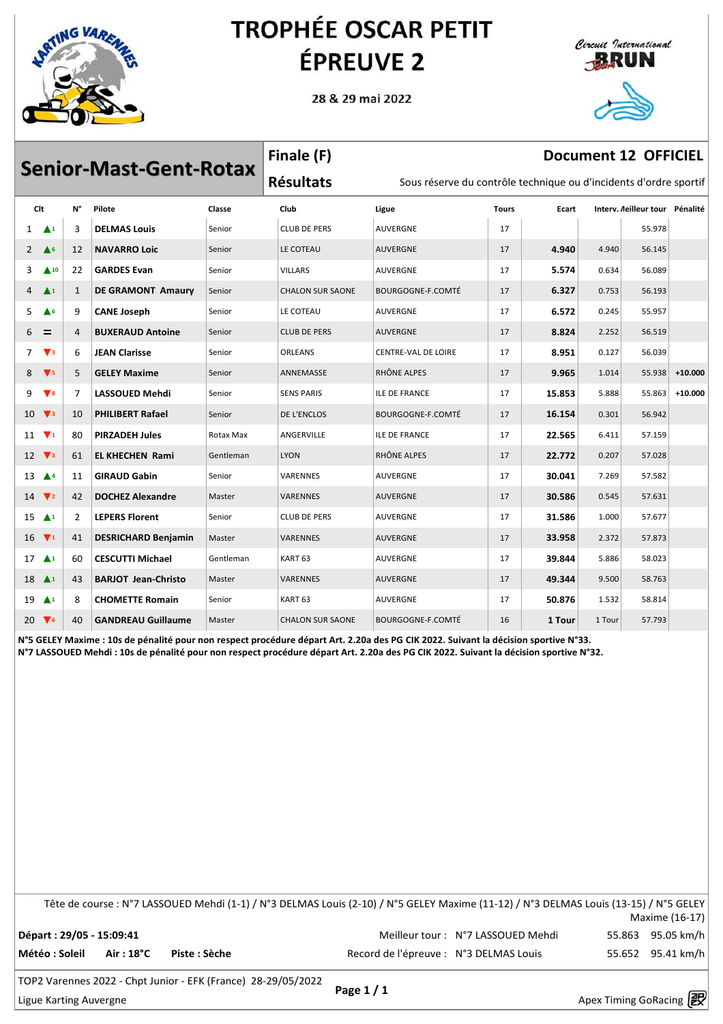

28 & 29 mai 2022



|    |                               |                |                               |           | Finale (F)              |                                                                   |              |        |        | <b>Document 12 OFFICIEL</b>    |           |
|----|-------------------------------|----------------|-------------------------------|-----------|-------------------------|-------------------------------------------------------------------|--------------|--------|--------|--------------------------------|-----------|
|    |                               |                | <b>Senior-Mast-Gent-Rotax</b> |           | <b>Résultats</b>        | Sous réserve du contrôle technique ou d'incidents d'ordre sportif |              |        |        |                                |           |
|    | Clt                           | $N^{\circ}$    | Pilote                        | Classe    | Club                    | Ligue                                                             | <b>Tours</b> | Ecart  |        | Intery. Neilleur tour Pénalité |           |
| 1  | $\blacktriangle$ <sup>1</sup> | 3              | <b>DELMAS Louis</b>           | Senior    | <b>CLUB DE PERS</b>     | <b>AUVERGNE</b>                                                   | 17           |        |        | 55.978                         |           |
| 2  | $\triangle$ 6                 | 12             | <b>NAVARRO Loic</b>           | Senior    | LE COTEAU               | <b>AUVERGNE</b>                                                   | 17           | 4.940  | 4.940  | 56.145                         |           |
| 3  | $\triangle$ 10                | 22             | <b>GARDES Evan</b>            | Senior    | <b>VILLARS</b>          | AUVERGNE                                                          | 17           | 5.574  | 0.634  | 56.089                         |           |
| 4  | $\blacktriangle^1$            | 1              | <b>DE GRAMONT Amaury</b>      | Senior    | <b>CHALON SUR SAONE</b> | BOURGOGNE-F.COMTÉ                                                 | 17           | 6.327  | 0.753  | 56.193                         |           |
| 5  | $\triangle$ 6                 | 9              | <b>CANE Joseph</b>            | Senior    | LE COTEAU               | <b>AUVERGNE</b>                                                   | 17           | 6.572  | 0.245  | 55.957                         |           |
| 6  | $=$                           | 4              | <b>BUXERAUD Antoine</b>       | Senior    | <b>CLUB DE PERS</b>     | <b>AUVERGNE</b>                                                   | 17           | 8.824  | 2.252  | 56.519                         |           |
| 7  | $\mathbf{V}$ <sub>3</sub>     | 6              | <b>JEAN Clarisse</b>          | Senior    | ORLEANS                 | CENTRE-VAL DE LOIRE                                               | 17           | 8.951  | 0.127  | 56.039                         |           |
| 8  | V <sub>5</sub>                | 5              | <b>GELEY Maxime</b>           | Senior    | <b>ANNEMASSE</b>        | RHÔNE ALPES                                                       | 17           | 9.965  | 1.014  | 55.938                         | $+10.000$ |
| 9  | $\blacktriangledown$ 8        | 7              | LASSOUED Mehdi                | Senior    | <b>SENS PARIS</b>       | <b>ILE DE FRANCE</b>                                              | 17           | 15.853 | 5.888  | 55.863                         | $+10.000$ |
|    | $10 \sqrt{3}$                 | 10             | <b>PHILIBERT Rafael</b>       | Senior    | DE L'ENCLOS             | BOURGOGNE-F.COMTÉ                                                 | 17           | 16.154 | 0.301  | 56.942                         |           |
| 11 | $\sqrt{1}$                    | 80             | <b>PIRZADEH Jules</b>         | Rotax Max | ANGERVILLE              | <b>ILE DE FRANCE</b>                                              | 17           | 22.565 | 6.411  | 57.159                         |           |
|    | $12 \sqrt{3}$                 | 61             | <b>EL KHECHEN Rami</b>        | Gentleman | <b>LYON</b>             | RHÔNE ALPES                                                       | 17           | 22.772 | 0.207  | 57.028                         |           |
| 13 | $\triangle$ <sup>4</sup>      | 11             | <b>GIRAUD Gabin</b>           | Senior    | VARENNES                | <b>AUVERGNE</b>                                                   | 17           | 30.041 | 7.269  | 57.582                         |           |
| 14 | $\mathbf{V}$ <sub>2</sub>     | 42             | <b>DOCHEZ Alexandre</b>       | Master    | VARENNES                | <b>AUVERGNE</b>                                                   | 17           | 30.586 | 0.545  | 57.631                         |           |
| 15 | $\blacktriangle$ <sup>1</sup> | $\overline{2}$ | <b>LEPERS Florent</b>         | Senior    | <b>CLUB DE PERS</b>     | <b>AUVERGNE</b>                                                   | 17           | 31.586 | 1.000  | 57.677                         |           |
|    | $16 \quad \blacktriangledown$ | 41             | <b>DESRICHARD Benjamin</b>    | Master    | VARENNES                | <b>AUVERGNE</b>                                                   | 17           | 33.958 | 2.372  | 57.873                         |           |
| 17 | $\blacktriangle$ <sup>1</sup> | 60             | <b>CESCUTTI Michael</b>       | Gentleman | KART <sub>63</sub>      | <b>AUVERGNE</b>                                                   | 17           | 39.844 | 5.886  | 58.023                         |           |
| 18 | $\triangle$ <sup>1</sup>      | 43             | <b>BARJOT Jean-Christo</b>    | Master    | VARENNES                | <b>AUVERGNE</b>                                                   | 17           | 49.344 | 9.500  | 58.763                         |           |
| 19 | $\blacktriangle$ <sup>1</sup> | 8              | <b>CHOMETTE Romain</b>        | Senior    | KART <sub>63</sub>      | AUVERGNE                                                          | 17           | 50.876 | 1.532  | 58.814                         |           |
| 20 | $\blacktriangledown$ 6        | 40             | <b>GANDREAU Guillaume</b>     | Master    | <b>CHALON SUR SAONE</b> | BOURGOGNE-F.COMTÉ                                                 | 16           | 1 Tour | 1 Tour | 57.793                         |           |

N°5 GELEY Maxime : 10s de pénalité pour non respect procédure départ Art. 2.20a des PG CIK 2022. Suivant la décision sportive N°33. N°7 LASSOUED Mehdi : 10s de pénalité pour non respect procédure départ Art. 2.20a des PG CIK 2022. Suivant la décision sportive N°32.

|                          |                   |               | Tête de course : N°7 LASSOUED Mehdi (1-1) / N°3 DELMAS Louis (2-10) / N°5 GELEY Maxime (11-12) / N°3 DELMAS Louis (13-15) / N°5 GELEY |                                   |                   |
|--------------------------|-------------------|---------------|---------------------------------------------------------------------------------------------------------------------------------------|-----------------------------------|-------------------|
|                          |                   |               |                                                                                                                                       |                                   | Maxime (16-17)    |
| Départ: 29/05 - 15:09:41 |                   |               |                                                                                                                                       | Meilleur tour: N°7 LASSOUED Mehdi | 55.863 95.05 km/h |
| Météo : Soleil           | $Air:18^{\circ}C$ | Piste : Sèche | Record de l'épreuve : N°3 DELMAS Louis                                                                                                |                                   | 55.652 95.41 km/h |

Apex Timing GoRacing 2

Ligue Karting Auvergne

Page 1 / 1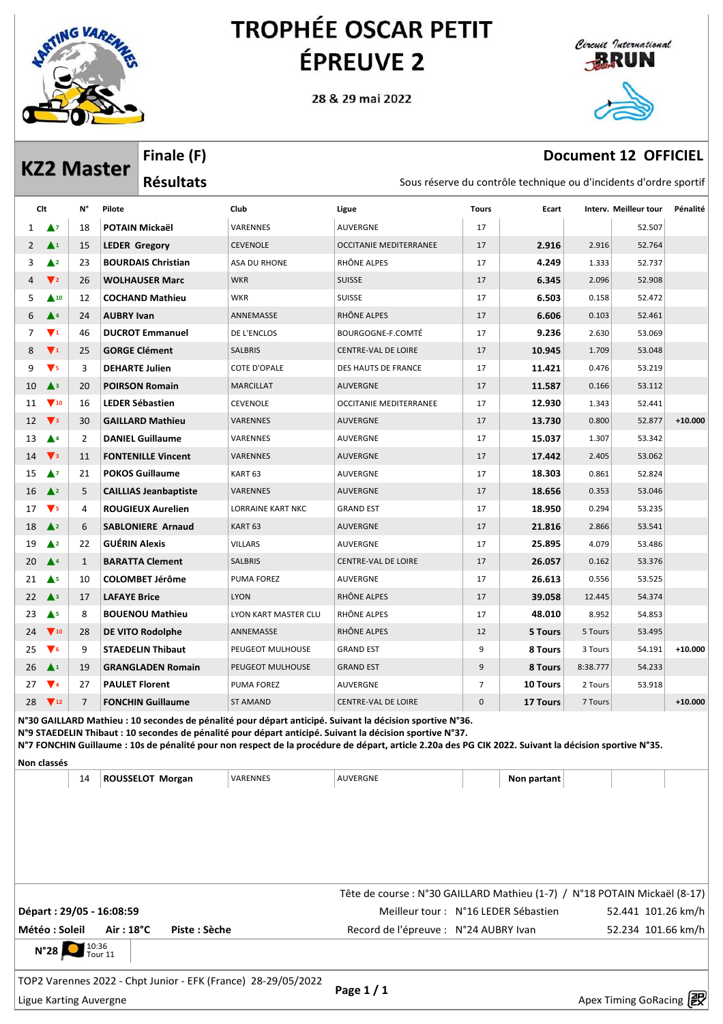

28 & 29 mai 2022



**KZ2 Master** 

Finale (F)

**Résultats** 

#### **Document 12 OFFICIEL**

|       | Sous réserve du contrôle technique ou d'incidents d'ordre sportif |       |                       |            |
|-------|-------------------------------------------------------------------|-------|-----------------------|------------|
| Ligue | Tours                                                             | Ecart | Interv. Meilleur tour | Pénalité l |
|       |                                                                   |       |                       |            |

|                | Clt                               | N°             | Pilote                       | Club                     | Ligue                         | <b>Tours</b>    | Ecart    |          | Interv. Meilleur tour | Pénalité  |
|----------------|-----------------------------------|----------------|------------------------------|--------------------------|-------------------------------|-----------------|----------|----------|-----------------------|-----------|
| $\mathbf{1}$   | $\blacktriangle$                  | 18             | POTAIN Mickaël               | VARENNES                 | AUVERGNE                      | 17              |          |          | 52.507                |           |
| $\overline{2}$ | $\blacktriangle^1$                | 15             | <b>LEDER Gregory</b>         | <b>CEVENOLE</b>          | <b>OCCITANIE MEDITERRANEE</b> | 17              | 2.916    | 2.916    | 52.764                |           |
| 3              | $\triangle^2$                     | 23             | <b>BOURDAIS Christian</b>    | <b>ASA DU RHONE</b>      | RHÔNE ALPES                   | 17              | 4.249    | 1.333    | 52.737                |           |
| 4              | $\nabla$ <sub>2</sub>             | 26             | <b>WOLHAUSER Marc</b>        | <b>WKR</b>               | <b>SUISSE</b>                 | 17              | 6.345    | 2.096    | 52.908                |           |
| 5              | $\triangle$ 10                    | 12             | <b>COCHAND Mathieu</b>       | <b>WKR</b>               | <b>SUISSE</b>                 | 17              | 6.503    | 0.158    | 52.472                |           |
| 6              | $\blacktriangle^4$                | 24             | <b>AUBRY Ivan</b>            | ANNEMASSE                | RHÔNE ALPES                   | 17              | 6.606    | 0.103    | 52.461                |           |
| 7              | $\mathbf{V}_1$                    | 46             | <b>DUCROT Emmanuel</b>       | DE L'ENCLOS              | BOURGOGNE-F.COMTÉ             | 17              | 9.236    | 2.630    | 53.069                |           |
| 8              | $\mathbf{V}_1$                    | 25             | <b>GORGE Clément</b>         | <b>SALBRIS</b>           | CENTRE-VAL DE LOIRE           | 17              | 10.945   | 1.709    | 53.048                |           |
| 9              | $\blacktriangledown$ <sub>5</sub> | 3              | <b>DEHARTE Julien</b>        | <b>COTE D'OPALE</b>      | DES HAUTS DE FRANCE           | 17              | 11.421   | 0.476    | 53.219                |           |
| 10             | $\triangle$ <sup>3</sup>          | 20             | <b>POIRSON Romain</b>        | <b>MARCILLAT</b>         | <b>AUVERGNE</b>               | 17              | 11.587   | 0.166    | 53.112                |           |
| 11             | $\blacktriangledown$ 10           | 16             | <b>LEDER Sébastien</b>       | <b>CEVENOLE</b>          | <b>OCCITANIE MEDITERRANEE</b> | 17              | 12.930   | 1.343    | 52.441                |           |
| 12             | $\mathbf{V}$ <sub>3</sub>         | 30             | <b>GAILLARD Mathieu</b>      | VARENNES                 | <b>AUVERGNE</b>               | 17              | 13.730   | 0.800    | 52.877                | $+10.000$ |
| 13             | $\triangle^4$                     | $\overline{2}$ | <b>DANIEL Guillaume</b>      | VARENNES                 | AUVERGNE                      | 17              | 15.037   | 1.307    | 53.342                |           |
| 14             | $\mathbf{V}$ <sub>3</sub>         | 11             | <b>FONTENILLE Vincent</b>    | VARENNES                 | <b>AUVERGNE</b>               | 17              | 17.442   | 2.405    | 53.062                |           |
| 15             | $\triangle$                       | 21             | <b>POKOS Guillaume</b>       | KART <sub>63</sub>       | AUVERGNE                      | 17              | 18.303   | 0.861    | 52.824                |           |
| 16             | $\triangle$ <sup>2</sup>          | 5              | <b>CAILLIAS Jeanbaptiste</b> | VARENNES                 | <b>AUVERGNE</b>               | 17              | 18.656   | 0.353    | 53.046                |           |
| 17             | $\blacktriangledown$ <sub>5</sub> | 4              | <b>ROUGIEUX Aurelien</b>     | <b>LORRAINE KART NKC</b> | <b>GRAND EST</b>              | 17              | 18.950   | 0.294    | 53.235                |           |
| 18             | $\triangle^2$                     | 6              | <b>SABLONIERE Arnaud</b>     | KART <sub>63</sub>       | <b>AUVERGNE</b>               | 17              | 21.816   | 2.866    | 53.541                |           |
| 19             | $\triangle^2$                     | 22             | <b>GUÉRIN Alexis</b>         | <b>VILLARS</b>           | AUVERGNE                      | 17              | 25.895   | 4.079    | 53.486                |           |
| 20             | $\blacktriangle^4$                | $\mathbf{1}$   | <b>BARATTA Clement</b>       | <b>SALBRIS</b>           | CENTRE-VAL DE LOIRE           | 17              | 26.057   | 0.162    | 53.376                |           |
| 21             | $\triangle$ 5                     | 10             | <b>COLOMBET Jérôme</b>       | PUMA FOREZ               | <b>AUVERGNE</b>               | 17              | 26.613   | 0.556    | 53.525                |           |
| 22             | $\triangle$ <sup>3</sup>          | 17             | <b>LAFAYE Brice</b>          | <b>LYON</b>              | RHÔNE ALPES                   | 17              | 39.058   | 12.445   | 54.374                |           |
| 23             | $\triangle$ <sub>5</sub>          | 8              | <b>BOUENOU Mathieu</b>       | LYON KART MASTER CLU     | RHÔNE ALPES                   | 17              | 48.010   | 8.952    | 54.853                |           |
| 24             | $\sqrt{10}$                       | 28             | DE VITO Rodolphe             | ANNEMASSE                | RHÔNE ALPES                   | 12              | 5 Tours  | 5 Tours  | 53.495                |           |
| 25             | $\blacktriangledown$ 6            | 9              | <b>STAEDELIN Thibaut</b>     | PEUGEOT MULHOUSE         | <b>GRAND EST</b>              | 9               | 8 Tours  | 3 Tours  | 54.191                | $+10.000$ |
| 26             | $\blacktriangle^1$                | 19             | <b>GRANGLADEN Romain</b>     | PEUGEOT MULHOUSE         | <b>GRAND EST</b>              | 9               | 8 Tours  | 8:38.777 | 54.233                |           |
| 27             | $\sqrt{4}$                        | 27             | <b>PAULET Florent</b>        | PUMA FOREZ               | AUVERGNE                      | $7\overline{ }$ | 10 Tours | 2 Tours  | 53.918                |           |
| 28             | $\sqrt{12}$                       | $\overline{7}$ | <b>FONCHIN Guillaume</b>     | <b>ST AMAND</b>          | CENTRE-VAL DE LOIRE           | $\mathbf 0$     | 17 Tours | 7 Tours  |                       | $+10.000$ |

N°30 GAILLARD Mathieu : 10 secondes de pénalité pour départ anticipé. Suivant la décision sportive N°36.

N°9 STAEDELIN Thibaut : 10 secondes de pénalité pour départ anticipé. Suivant la décision sportive N°37.

N°7 FONCHIN Guillaume : 10s de pénalité pour non respect de la procédure de départ, article 2.20a des PG CIK 2022. Suivant la décision sportive N°35. Non classés

| 14                       | <b>ROUSSELOT Morgan</b> |               | VARENNES                                                      | AUVERGNE                                                                  | Non partant |                               |  |
|--------------------------|-------------------------|---------------|---------------------------------------------------------------|---------------------------------------------------------------------------|-------------|-------------------------------|--|
|                          |                         |               |                                                               |                                                                           |             |                               |  |
|                          |                         |               |                                                               |                                                                           |             |                               |  |
|                          |                         |               |                                                               |                                                                           |             |                               |  |
|                          |                         |               |                                                               |                                                                           |             |                               |  |
|                          |                         |               |                                                               |                                                                           |             |                               |  |
|                          |                         |               |                                                               |                                                                           |             |                               |  |
|                          |                         |               |                                                               | Tête de course : N°30 GAILLARD Mathieu (1-7) / N°18 POTAIN Mickaël (8-17) |             |                               |  |
| Départ: 29/05 - 16:08:59 |                         |               |                                                               | Meilleur tour : N°16 LEDER Sébastien                                      |             | 52.441 101.26 km/h            |  |
| Météo : Soleil           | Air : 18°C              | Piste : Sèche |                                                               | Record de l'épreuve : N°24 AUBRY Ivan                                     |             | 52.234 101.66 km/h            |  |
| N°28 10:36               |                         |               |                                                               |                                                                           |             |                               |  |
|                          |                         |               | TOP2 Varennes 2022 - Chpt Junior - EFK (France) 28-29/05/2022 |                                                                           |             |                               |  |
| Ligue Karting Auvergne   |                         |               |                                                               | Page $1/1$                                                                |             | Apex Timing GoRacing <b>图</b> |  |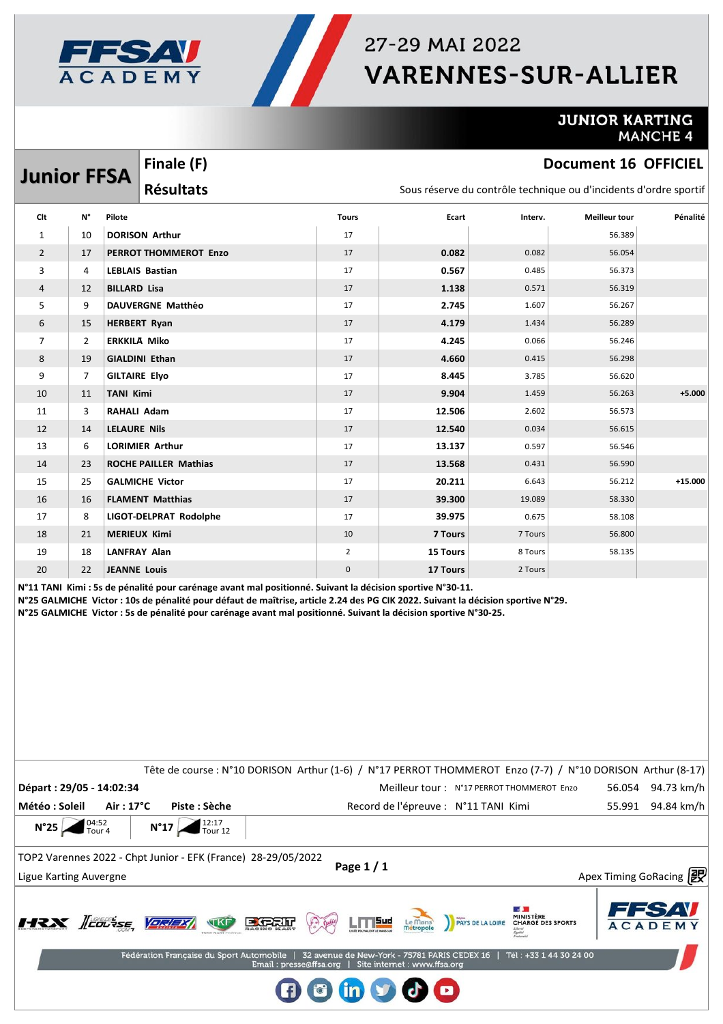



### 27-29 MAI 2022 **VARENNES-SUR-ALLIER**

#### **JUNIOR KARTING MANCHE 4**

#### ment 16 OFFICIEL

|           | Document 16 OFFICIEL |         |                                                                   |                | Finale (F)                   | <b>Junior FFSA</b> |    |                |
|-----------|----------------------|---------|-------------------------------------------------------------------|----------------|------------------------------|--------------------|----|----------------|
|           |                      |         | Sous réserve du contrôle technique ou d'incidents d'ordre sportif |                | <b>Résultats</b>             |                    |    |                |
| Pénalité  | <b>Meilleur tour</b> | Interv. | Ecart                                                             | <b>Tours</b>   |                              | Pilote             | N° | Clt            |
|           | 56.389               |         |                                                                   | 17             | <b>DORISON Arthur</b>        |                    | 10 | $\mathbf{1}$   |
|           | 56.054               | 0.082   | 0.082                                                             | 17             | PERROT THOMMEROT Enzo        |                    | 17 | $\overline{2}$ |
|           | 56.373               | 0.485   | 0.567                                                             | 17             | <b>LEBLAIS Bastian</b>       |                    | 4  | 3              |
|           | 56.319               | 0.571   | 1.138                                                             | 17             | <b>BILLARD Lisa</b>          |                    | 12 | 4              |
|           | 56.267               | 1.607   | 2.745                                                             | 17             | <b>DAUVERGNE Matthéo</b>     |                    | 9  | 5              |
|           | 56.289               | 1.434   | 4.179                                                             | 17             | <b>HERBERT Ryan</b>          |                    | 15 | 6              |
|           | 56.246               | 0.066   | 4.245                                                             | 17             | <b>ERKKILA Miko</b>          |                    | 2  | 7              |
|           | 56.298               | 0.415   | 4.660                                                             | 17             | <b>GIALDINI Ethan</b>        |                    | 19 | 8              |
|           | 56.620               | 3.785   | 8.445                                                             | 17             | <b>GILTAIRE Elvo</b>         |                    | 7  | 9              |
| $+5.000$  | 56.263               | 1.459   | 9.904                                                             | 17             |                              | <b>TANI Kimi</b>   | 11 | 10             |
|           | 56.573               | 2.602   | 12.506                                                            | 17             | <b>RAHALI Adam</b>           |                    | 3  | 11             |
|           | 56.615               | 0.034   | 12.540                                                            | 17             | <b>LELAURE Nils</b>          |                    | 14 | 12             |
|           | 56.546               | 0.597   | 13.137                                                            | 17             | <b>LORIMIER Arthur</b>       |                    | 6  | 13             |
|           | 56.590               | 0.431   | 13.568                                                            | 17             | <b>ROCHE PAILLER Mathias</b> |                    | 23 | 14             |
| $+15.000$ | 56.212               | 6.643   | 20.211                                                            | 17             | <b>GALMICHE Victor</b>       |                    | 25 | 15             |
|           | 58.330               | 19.089  | 39.300                                                            | 17             | <b>FLAMENT Matthias</b>      |                    | 16 | 16             |
|           | 58.108               | 0.675   | 39.975                                                            | 17             | LIGOT-DELPRAT Rodolphe       |                    | 8  | 17             |
|           | 56.800               | 7 Tours | 7 Tours                                                           | 10             | <b>MERIEUX Kimi</b>          |                    | 21 | 18             |
|           | 58.135               | 8 Tours | <b>15 Tours</b>                                                   | $\overline{2}$ | <b>LANFRAY Alan</b>          |                    | 18 | 19             |
|           |                      | 2 Tours | 17 Tours                                                          | $\mathbf 0$    | <b>JEANNE Louis</b>          |                    | 22 | 20             |

N°25 GALMICHE Victor : 5s de pénalité pour carénage avant mal positionné. Suivant la décision sportive N°30-25.

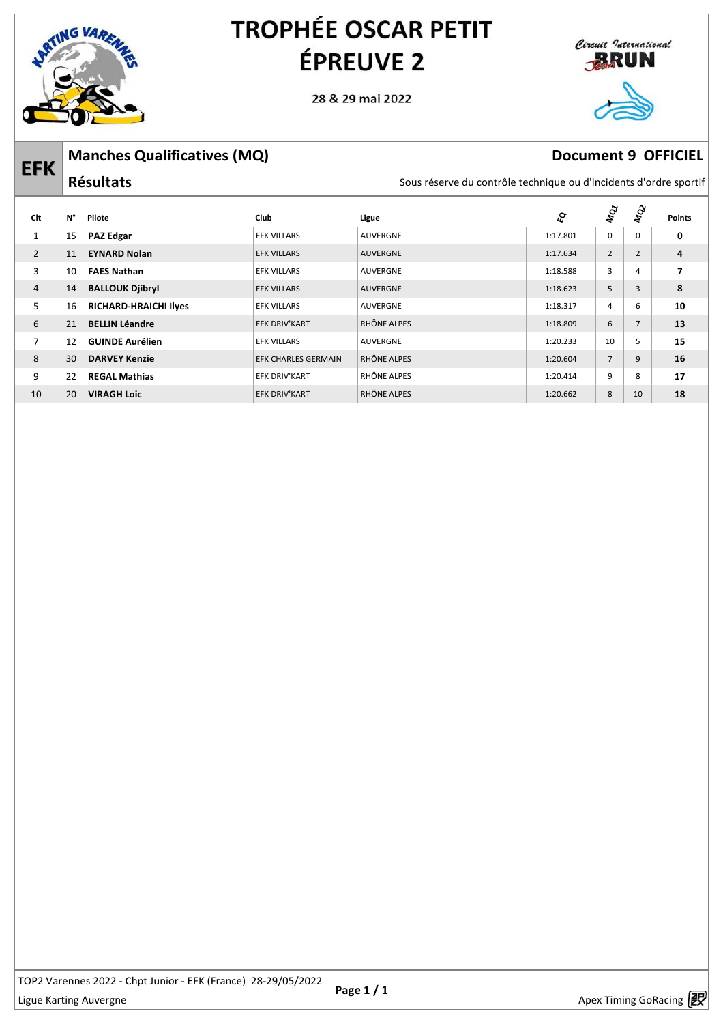

28 & 29 mai 2022



| <b>EFK</b>     |    | <b>Manches Qualificatives (MQ)</b> |                      | Document 9 OFFICIEL |                                                                   |                |                |                          |  |  |
|----------------|----|------------------------------------|----------------------|---------------------|-------------------------------------------------------------------|----------------|----------------|--------------------------|--|--|
|                |    | <b>Résultats</b>                   |                      |                     | Sous réserve du contrôle technique ou d'incidents d'ordre sportif |                |                |                          |  |  |
| Clt            | N° | Pilote                             | Club                 | Ligue               | ଙ                                                                 | <b>MON</b>     | र्ष्ट्र<br>ब   | <b>Points</b>            |  |  |
| $\mathbf 1$    | 15 | <b>PAZ Edgar</b>                   | <b>EFK VILLARS</b>   | <b>AUVERGNE</b>     | 1:17.801                                                          | $\mathbf 0$    | 0              | 0                        |  |  |
| 2              | 11 | <b>EYNARD Nolan</b>                | <b>EFK VILLARS</b>   | <b>AUVERGNE</b>     | 1:17.634                                                          | $\overline{2}$ | $\overline{2}$ | 4                        |  |  |
| 3              | 10 | <b>FAES Nathan</b>                 | <b>EFK VILLARS</b>   | <b>AUVERGNE</b>     | 1:18.588                                                          | 3              | 4              | $\overline{\phantom{a}}$ |  |  |
| $\overline{4}$ | 14 | <b>BALLOUK Djibryl</b>             | <b>EFK VILLARS</b>   | <b>AUVERGNE</b>     | 1:18.623                                                          | 5              | 3              | 8                        |  |  |
| 5              | 16 | <b>RICHARD-HRAICHI Ilyes</b>       | <b>EFK VILLARS</b>   | <b>AUVERGNE</b>     | 1:18.317                                                          | 4              | 6              | 10                       |  |  |
| 6              | 21 | <b>BELLIN Léandre</b>              | <b>EFK DRIV'KART</b> | RHÔNE ALPES         | 1:18.809                                                          | 6              | $\overline{7}$ | 13                       |  |  |
| $\overline{7}$ | 12 | <b>GUINDE Aurélien</b>             | <b>EFK VILLARS</b>   | AUVERGNE            | 1:20.233                                                          | 10             | 5              | 15                       |  |  |
| 8              | 30 | <b>DARVEY Kenzie</b>               | EFK CHARLES GERMAIN  | RHÔNE ALPES         | 1:20.604                                                          | $\overline{7}$ | 9              | 16                       |  |  |
| 9              | 22 | <b>REGAL Mathias</b>               | <b>EFK DRIV'KART</b> | RHÔNE ALPES         | 1:20.414                                                          | 9              | 8              | 17                       |  |  |
| 10             | 20 | <b>VIRAGH Loic</b>                 | <b>EFK DRIV'KART</b> | RHÔNE ALPES         | 1:20.662                                                          | 8              | 10             | 18                       |  |  |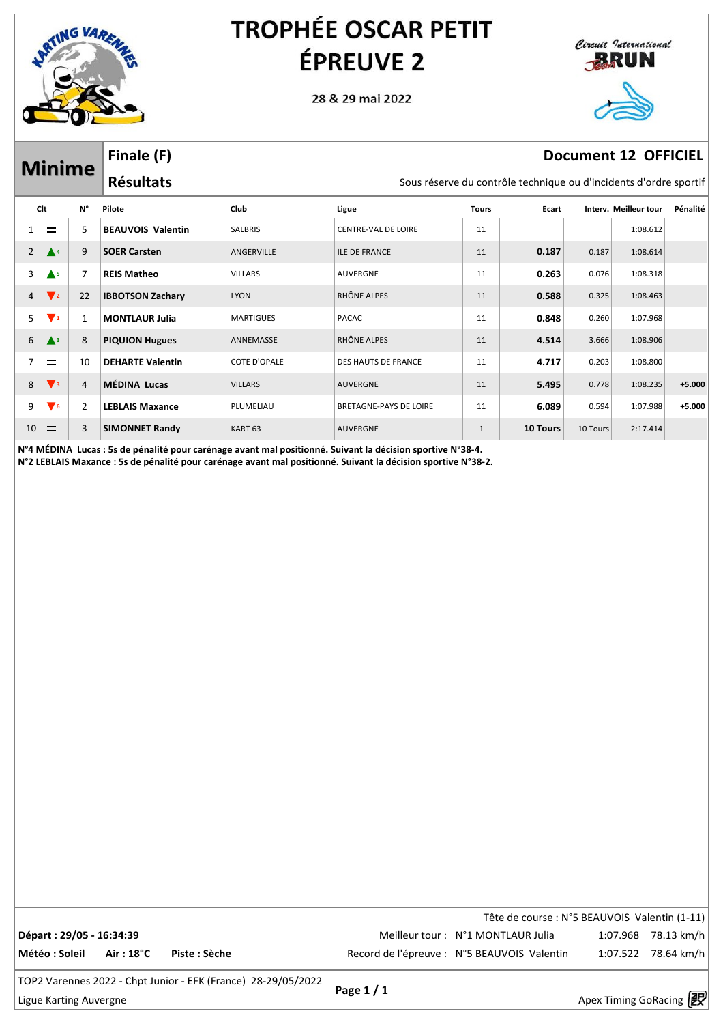

**Minime** 

# **TROPHÉE OSCAR PETIT ÉPREUVE 2**

28 & 29 mai 2022



#### **Document 12 OFFICIEL**

Finale (F) **Résultats** 

#### Sous réserve du contrôle technique ou d'incidents d'ordre sportif

| Clt            |                               | N°             | Pilote                   | Club                | Ligue                         | <b>Tours</b> | Ecart           |          | Interv. Meilleur tour | Pénalité |
|----------------|-------------------------------|----------------|--------------------------|---------------------|-------------------------------|--------------|-----------------|----------|-----------------------|----------|
|                | $\equiv$                      | 5              | <b>BEAUVOIS Valentin</b> | SALBRIS             | <b>CENTRE-VAL DE LOIRE</b>    | 11           |                 |          | 1:08.612              |          |
| 2              | $\blacktriangle$ <sup>4</sup> | 9              | <b>SOER Carsten</b>      | ANGERVILLE          | <b>ILE DE FRANCE</b>          | 11           | 0.187           | 0.187    | 1:08.614              |          |
| 3              | $\triangle$ <sub>5</sub>      | 7              | <b>REIS Matheo</b>       | <b>VILLARS</b>      | <b>AUVERGNE</b>               | 11           | 0.263           | 0.076    | 1:08.318              |          |
| $\overline{4}$ | $\mathbf{V}$ <sub>2</sub>     | 22             | <b>IBBOTSON Zachary</b>  | <b>LYON</b>         | RHÔNE ALPES                   | 11           | 0.588           | 0.325    | 1:08.463              |          |
| 5.             | $\blacktriangledown_1$        | $\mathbf{1}$   | <b>MONTLAUR Julia</b>    | <b>MARTIGUES</b>    | <b>PACAC</b>                  | 11           | 0.848           | 0.260    | 1:07.968              |          |
| 6              | $\triangle^3$                 | 8              | <b>PIQUION Hugues</b>    | ANNEMASSE           | RHÔNE ALPES                   | 11           | 4.514           | 3.666    | 1:08.906              |          |
|                | Ξ                             | 10             | <b>DEHARTE Valentin</b>  | <b>COTE D'OPALE</b> | <b>DES HAUTS DE FRANCE</b>    | 11           | 4.717           | 0.203    | 1:08.800              |          |
| 8              | $\blacktriangledown_3$        | $\overline{4}$ | MÉDINA Lucas             | <b>VILLARS</b>      | <b>AUVERGNE</b>               | 11           | 5.495           | 0.778    | 1:08.235              | $+5.000$ |
| 9              | $\blacktriangledown_6$        | 2              | <b>LEBLAIS Maxance</b>   | PLUMELIAU           | <b>BRETAGNE-PAYS DE LOIRE</b> | 11           | 6.089           | 0.594    | 1:07.988              | $+5.000$ |
| 10             | $\equiv$                      | 3              | <b>SIMONNET Randy</b>    | KART <sub>63</sub>  | <b>AUVERGNE</b>               | $\mathbf{1}$ | <b>10 Tours</b> | 10 Tours | 2:17.414              |          |

N°4 MÉDINA Lucas : 5s de pénalité pour carénage avant mal positionné. Suivant la décision sportive N°38-4.

N°2 LEBLAIS Maxance : 5s de pénalité pour carénage avant mal positionné. Suivant la décision sportive N°38-2.

|                                |            |               | Tête de course : N°5 BEAUVOIS Valentin (1-11) |                     |
|--------------------------------|------------|---------------|-----------------------------------------------|---------------------|
| Départ : 29/05 - 16:34:39      |            |               | Meilleur tour: N°1 MONTLAUR Julia             | 1:07.968 78.13 km/h |
| $\mathsf{\mid}$ Météo : Soleil | Air : 18°C | Piste : Sèche | Record de l'épreuve : N°5 BEAUVOIS Valentin   | 1:07.522 78.64 km/h |
|                                |            |               |                                               |                     |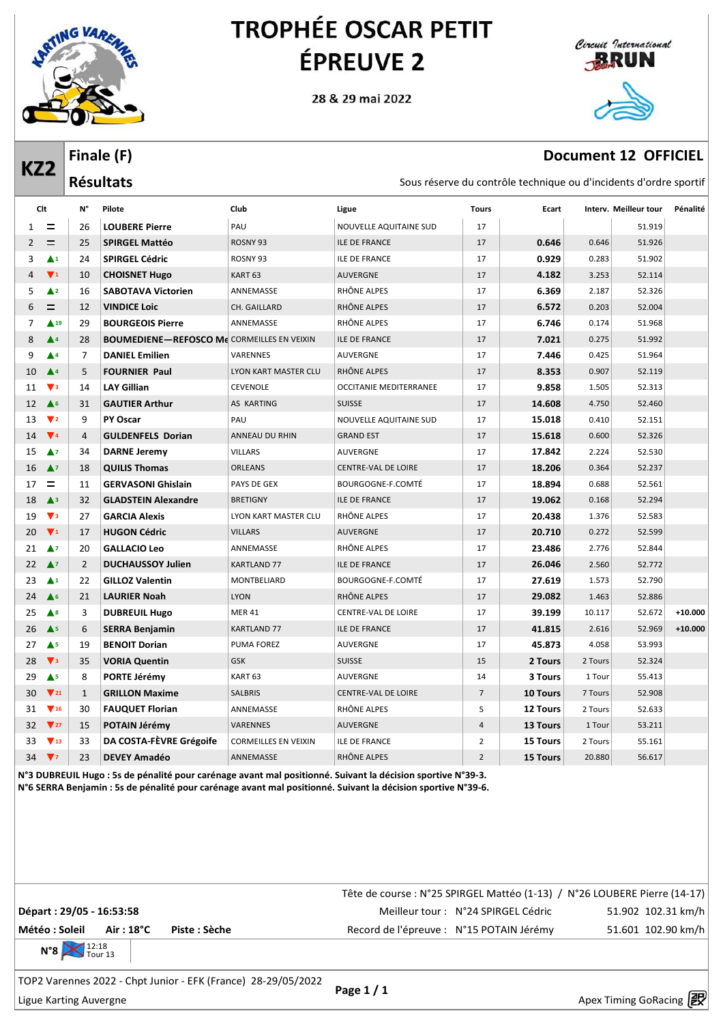

28 & 29 mai 2022



#### **FFICIEL**

 $+10.000$ 

52.969

53.993

52.324

55.413

52.908

52.633

53.211

55.161

56.617

41.815

45.873

2 Tours

3 Tours

10 Tours

12 Tours

13 Tours

15 Tours

15 Tours

2.616

4.058

2 Tours

1 Tour

7 Tours

2 Tours

1 Tour

2 Tours

20.880

17

17

15

 $14$ 

 $\overline{7}$ 

 $\sf 5$ 

 $\overline{4}$ 

 $\overline{2}$ 

 $\mathbf 2$ 

|                 |                                   |                | Finale (F)                                        |                      |                               |              |                                                                   |        | <b>Document 12 OFFICIEL</b> |           |
|-----------------|-----------------------------------|----------------|---------------------------------------------------|----------------------|-------------------------------|--------------|-------------------------------------------------------------------|--------|-----------------------------|-----------|
| KZ <sub>2</sub> |                                   |                | <b>Résultats</b>                                  |                      |                               |              | Sous réserve du contrôle technique ou d'incidents d'ordre sportif |        |                             |           |
|                 | Clt                               | N°             | Pilote                                            | Club                 | Ligue                         | <b>Tours</b> | Ecart                                                             |        | Interv. Meilleur tour       | Pénalité  |
| 1               | $\equiv$                          | 26             | <b>LOUBERE Pierre</b>                             | PAU                  | <b>NOUVELLE AQUITAINE SUD</b> | 17           |                                                                   |        | 51.919                      |           |
| 2               | $=$                               | 25             | <b>SPIRGEL Mattéo</b>                             | ROSNY <sub>93</sub>  | <b>ILE DE FRANCE</b>          | 17           | 0.646                                                             | 0.646  | 51.926                      |           |
| 3               | $\blacktriangle$ <sup>1</sup>     | 24             | <b>SPIRGEL Cédric</b>                             | ROSNY <sub>93</sub>  | <b>ILE DE FRANCE</b>          | 17           | 0.929                                                             | 0.283  | 51.902                      |           |
| 4               | $\blacktriangledown_1$            | 10             | <b>CHOISNET Hugo</b>                              | KART <sub>63</sub>   | <b>AUVERGNE</b>               | 17           | 4.182                                                             | 3.253  | 52.114                      |           |
| 5               | $\triangle$ <sup>2</sup>          | 16             | <b>SABOTAVA Victorien</b>                         | ANNEMASSE            | RHÔNE ALPES                   | 17           | 6.369                                                             | 2.187  | 52.326                      |           |
| 6               | $=$                               | 12             | <b>VINDICE Loic</b>                               | CH. GAILLARD         | RHÔNE ALPES                   | 17           | 6.572                                                             | 0.203  | 52.004                      |           |
| $\overline{7}$  | $\triangle$ 19                    | 29             | <b>BOURGEOIS Pierre</b>                           | ANNEMASSE            | RHÔNE ALPES                   | 17           | 6.746                                                             | 0.174  | 51.968                      |           |
| 8               | $\blacktriangle$ <sup>4</sup>     | 28             | <b>BOUMEDIENE-REFOSCO Me CORMEILLES EN VEIXIN</b> |                      | <b>ILE DE FRANCE</b>          | 17           | 7.021                                                             | 0.275  | 51.992                      |           |
| 9               | $\blacktriangle$ 4                | 7              | <b>DANIEL Emilien</b>                             | <b>VARENNES</b>      | <b>AUVERGNE</b>               | 17           | 7.446                                                             | 0.425  | 51.964                      |           |
| 10              | $\blacktriangle$ <sup>4</sup>     | 5              | <b>FOURNIER Paul</b>                              | LYON KART MASTER CLU | RHÔNE ALPES                   | 17           | 8.353                                                             | 0.907  | 52.119                      |           |
| 11              | $\mathbf{V}$ <sub>3</sub>         | 14             | <b>LAY Gillian</b>                                | <b>CEVENOLE</b>      | <b>OCCITANIE MEDITERRANEE</b> | 17           | 9.858                                                             | 1.505  | 52.313                      |           |
| 12              | A <sub>6</sub>                    | 31             | <b>GAUTIER Arthur</b>                             | <b>AS KARTING</b>    | <b>SUISSE</b>                 | 17           | 14.608                                                            | 4.750  | 52.460                      |           |
| 13              | $\nabla$ 2                        | 9              | <b>PY Oscar</b>                                   | PAU                  | NOUVELLE AQUITAINE SUD        | 17           | 15.018                                                            | 0.410  | 52.151                      |           |
| 14              | $\Psi$ 4                          | 4              | <b>GULDENFELS Dorian</b>                          | ANNEAU DU RHIN       | <b>GRAND EST</b>              | 17           | 15.618                                                            | 0.600  | 52.326                      |           |
| 15              | $\blacktriangle$ 7                | 34             | <b>DARNE Jeremy</b>                               | <b>VILLARS</b>       | <b>AUVERGNE</b>               | 17           | 17.842                                                            | 2.224  | 52.530                      |           |
| 16              | $\blacktriangle$                  | 18             | <b>QUILIS Thomas</b>                              | <b>ORLEANS</b>       | CENTRE-VAL DE LOIRE           | 17           | 18.206                                                            | 0.364  | 52.237                      |           |
| 17              | $=$                               | 11             | <b>GERVASONI Ghislain</b>                         | PAYS DE GEX          | BOURGOGNE-F.COMTÉ             | 17           | 18.894                                                            | 0.688  | 52.561                      |           |
| 18              | $\triangle$ <sup>3</sup>          | 32             | <b>GLADSTEIN Alexandre</b>                        | <b>BRETIGNY</b>      | <b>ILE DE FRANCE</b>          | 17           | 19.062                                                            | 0.168  | 52.294                      |           |
| 19              | $\blacktriangledown$ <sub>3</sub> | 27             | <b>GARCIA Alexis</b>                              | LYON KART MASTER CLU | RHÔNE ALPES                   | 17           | 20.438                                                            | 1.376  | 52.583                      |           |
| 20              | $\mathbf{V}_1$                    | 17             | <b>HUGON Cédric</b>                               | <b>VILLARS</b>       | <b>AUVERGNE</b>               | 17           | 20.710                                                            | 0.272  | 52.599                      |           |
| 21              | $\blacktriangle$ 7                | 20             | <b>GALLACIO Leo</b>                               | ANNEMASSE            | RHÔNE ALPES                   | 17           | 23.486                                                            | 2.776  | 52.844                      |           |
| 22              | $\blacktriangle$ 7                | $\overline{2}$ | <b>DUCHAUSSOY Julien</b>                          | <b>KARTLAND 77</b>   | <b>ILE DE FRANCE</b>          | 17           | 26.046                                                            | 2.560  | 52.772                      |           |
| 23              | $\blacktriangle$ <sup>1</sup>     | 22             | <b>GILLOZ Valentin</b>                            | <b>MONTBELIARD</b>   | BOURGOGNE-F.COMTÉ             | 17           | 27.619                                                            | 1.573  | 52.790                      |           |
| 24              | $\triangle$ <sup>6</sup>          | 21             | <b>LAURIER Noah</b>                               | <b>LYON</b>          | RHÔNE ALPES                   | 17           | 29.082                                                            | 1.463  | 52.886                      |           |
| 25              | $\blacktriangle$ 8                | 3              | <b>DUBREUIL Hugo</b>                              | <b>MER 41</b>        | CENTRE-VAL DE LOIRE           | 17           | 39.199                                                            | 10.117 | 52.672                      | $+10.000$ |

N°3 DUBREUIL Hugo : 5s de pénalité pour carénage avant mal positionné. Suivant la décision sportive N°39-3. N°6 SERRA Benjamin : 5s de pénalité pour carénage avant mal positionné. Suivant la décision sportive N°39-6.

ANNEMASSE

**KARTLAND 77** 

**PUMA FOREZ** 

**GSK** 

KART<sub>63</sub>

SALBRIS

ANNEMASSE

VARENNES

**CORMEILLES EN VEIXIN** 

|                                                               | Tête de course : N°25 SPIRGEL Mattéo (1-13) / N°26 LOUBERE Pierre (14-17) |                    |
|---------------------------------------------------------------|---------------------------------------------------------------------------|--------------------|
| Départ : 29/05 - 16:53:58                                     | Meilleur tour: N°24 SPIRGEL Cédric                                        | 51.902 102.31 km/h |
| Air : $18^{\circ}$ C<br>Météo : Soleil<br>Piste : Sèche       | Record de l'épreuve : N°15 POTAIN Jérémy                                  | 51.601 102.90 km/h |
| $N°8$ $\frac{12:18}{Tour 13}$                                 |                                                                           |                    |
| TOP2 Varennes 2022 - Chpt Junior - EFK (France) 28-29/05/2022 |                                                                           |                    |

**ILE DE FRANCE** 

AUVERGNE

**AUVERGNE** 

RHÔNE ALPES

**ILE DE FRANCE** 

RHÔNE ALPES

**AUVERGNE** 

CENTRE-VAL DE LOIRE

**SUISSE** 

**Ligue Karting Auvergne** 

26  $\triangle$ <sub>5</sub>

27  $\triangle$ <sup>5</sup>

28  $\blacktriangledown$ <sub>3</sub>

 $29$  $A<sub>5</sub>$ 

30

31  $\Psi$ <sub>16</sub>

 $32$  $\nabla$  27

วว

34

 $\blacktriangledown$  21

 $\blacktriangledown$ <sub>13</sub>

 $\Psi$ 

6

19

35

 $\mathbf{R}$ 

 $\mathbf{1}$ 

30

15

 $33$ 

23

**SERRA Benjamin** 

**BENOIT Dorian** 

**VORIA Quentin** 

PORTE Jérémy

**GRILLON Maxime** 

**FAUQUET Florian** 

DA COSTA-FÈVRE Grégoife

POTAIN Jérémy

**DEVEY Amadéo** 

Page 1 / 1

Apex Timing GoRacing 2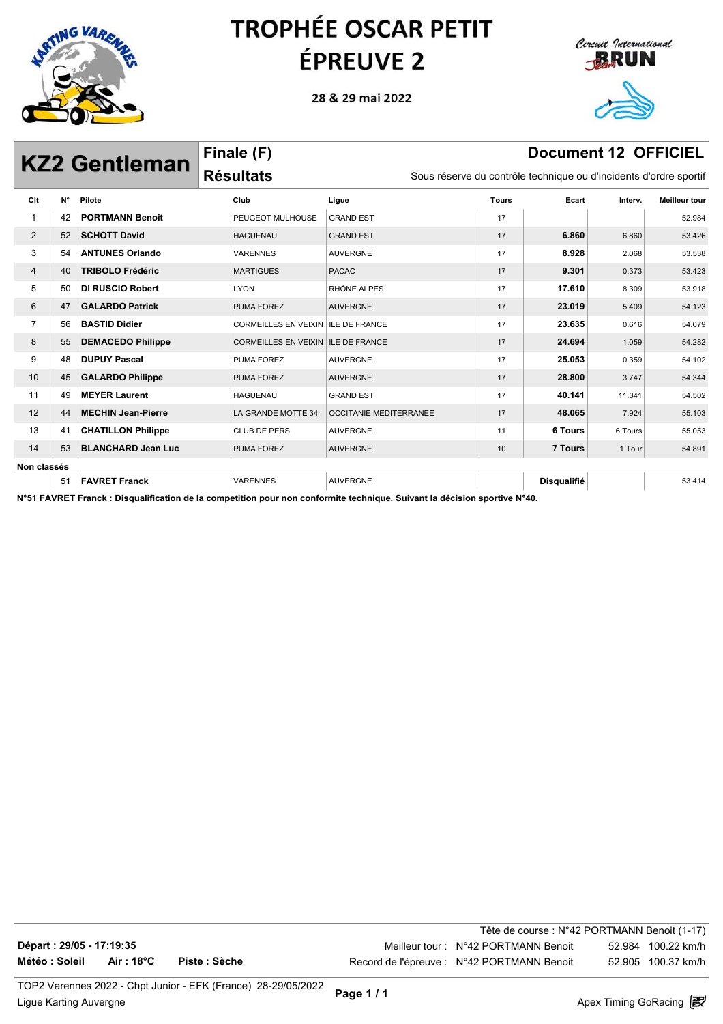

28 & 29 mai 2022



#### Finale (F) **Document 12 OFFICIEL KZ2 Gentleman Résultats** Sous réserve du contrôle technique ou d'incidents d'ordre sportif Clt  $N^{\circ}$ Pilote Club Ligue Tours Ecart Interv. **Meilleur tour**  $\overline{1}$ 42 **PORTMANN Benoit** PEUGEOT MULHOUSE **GRAND EST**  $17$ 52.984  $\overline{2}$ 52 **SCHOTT David GRAND EST** 6.860 **HAGUENAU**  $17$ 6.860 53.426 **ANTUNES Orlando**  $\overline{3}$ 54 **VARENNES** AUVERGNE 8.928 2.068  $17$ 53.538  $\overline{\mathbf{A}}$ **TRIBOLO Frédéric MARTIGUES PACAC**  $17$ 9.301 0.373 40 53 423 DI RUSCIO Robert 17.610 **LYON** RHÔNE ALPES  $\sqrt{2}$ 50  $17$ 8.309 53.918  $6\phantom{a}$ 47 **GALARDO Patrick** PUMA FOREZ **AUVERGNE**  $17$ 23.019 5409 54.123  $\overline{7}$ 56 **BASTID Didier** CORMEILLES EN VEIXIN ILE DE FRANCE  $17$ 23.635 0.616 54.079 8 **DEMACEDO Philippe** CORMEILLES EN VEIXIN ILE DE FRANCE 24.694 1.059 54.282 55  $17$  $\mathsf{Q}$ **DUPUY Pascal** PUMA FOREZ 25.053 48 **AUVERGNE** 0.359 17 54.102  $10$ 45 **GALARDO Philippe PUMA FOREZ AUVERGNE**  $17$ 28.800 3.747 54.344  $11$ 49 **MEYER Laurent HAGUENAU GRAND EST**  $17$ 40.141 11.341 54.502  $12$  $44$ **MECHIN Jean-Pierre** LA GRANDE MOTTE 34 **OCCITANIE MEDITERRANEE**  $17$ 48.065 7.924 55.103  $13$  $41$ **CHATILLON Philippe CLUB DE PERS AUVERGNE** 6 Tours 6 Tours 55.053  $11$  $14$ **BLANCHARD Jean Luc** PUMA FOREZ  $53$ AUVERGNE 7 Tours  $10$ 1 Tour 54.891 Non classés **FAVRET Franck VARENNES** AUVERGNE Disqualifié 51 53.414

N°51 FAVRET Franck : Disqualification de la competition pour non conformite technique. Suivant la décision sportive N°40.

|                          |            |               | Tête de course : N°42 PORTMANN Benoit (1-17) |                                            |                    |  |  |
|--------------------------|------------|---------------|----------------------------------------------|--------------------------------------------|--------------------|--|--|
| Départ: 29/05 - 17:19:35 |            |               |                                              | Meilleur tour: N°42 PORTMANN Benoit        | 52.984 100.22 km/h |  |  |
| Météo : Soleil           | Air : 18°C | Piste : Sèche |                                              | Record de l'épreuve : N°42 PORTMANN Benoit | 52.905 100.37 km/h |  |  |